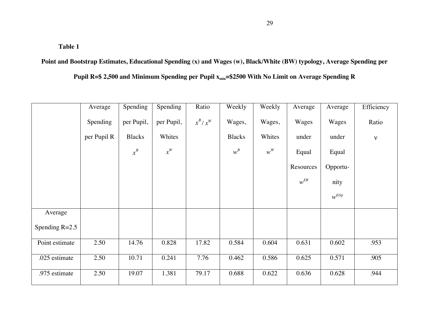**Point and Bootstrap Estimates, Educational Spending (x) and Wages (w), Black/White (BW) typology, Average Spending per** 

Pupil R=\$ 2,500 and Minimum Spending per Pupil  $x_{min}$ =\$2500 With No Limit on Average Spending R

|                  | Average     | Spending      | <b>Spending</b>    | Ratio     | Weekly        | Weekly | Average   | Average   | Efficiency   |
|------------------|-------------|---------------|--------------------|-----------|---------------|--------|-----------|-----------|--------------|
|                  | Spending    | per Pupil,    | per Pupil,         | $x^B/x^W$ | Wages,        | Wages, | Wages     | Wages     | Ratio        |
|                  | per Pupil R | <b>Blacks</b> | Whites             |           | <b>Blacks</b> | Whites | under     | under     | $\mathbf{V}$ |
|                  |             | $x^B$         | $\boldsymbol{x}^W$ |           | $w^B$         | $w^W$  | Equal     | Equal     |              |
|                  |             |               |                    |           |               |        | Resources | Opportu-  |              |
|                  |             |               |                    |           |               |        | $w^{ER}$  | nity      |              |
|                  |             |               |                    |           |               |        |           | $w^{EOp}$ |              |
| Average          |             |               |                    |           |               |        |           |           |              |
| Spending $R=2.5$ |             |               |                    |           |               |        |           |           |              |
| Point estimate   | 2.50        | 14.76         | 0.828              | 17.82     | 0.584         | 0.604  | 0.631     | 0.602     | .953         |
| .025 estimate    | 2.50        | 10.71         | 0.241              | 7.76      | 0.462         | 0.586  | 0.625     | 0.571     | .905         |
| .975 estimate    | 2.50        | 19.07         | 1.381              | 79.17     | 0.688         | 0.622  | 0.636     | 0.628     | .944         |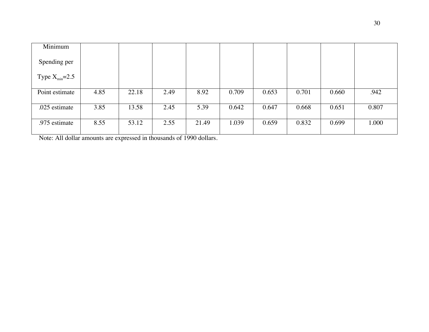| Minimum                     |      |       |      |       |       |       |       |       |       |
|-----------------------------|------|-------|------|-------|-------|-------|-------|-------|-------|
| Spending per                |      |       |      |       |       |       |       |       |       |
| Type $X_{\text{min}} = 2.5$ |      |       |      |       |       |       |       |       |       |
| Point estimate              | 4.85 | 22.18 | 2.49 | 8.92  | 0.709 | 0.653 | 0.701 | 0.660 | .942  |
| .025 estimate               | 3.85 | 13.58 | 2.45 | 5.39  | 0.642 | 0.647 | 0.668 | 0.651 | 0.807 |
| .975 estimate               | 8.55 | 53.12 | 2.55 | 21.49 | 1.039 | 0.659 | 0.832 | 0.699 | 1.000 |

Note: All dollar amounts are expressed in thousands of 1990 dollars.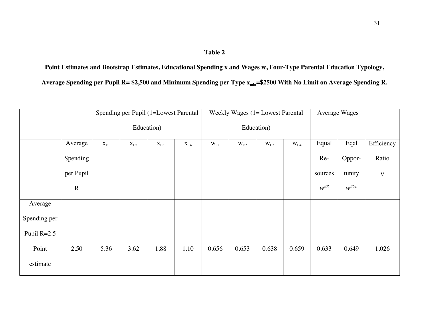**Point Estimates and Bootstrap Estimates, Educational Spending x and Wages w, Four-Type Parental Education Typology,**  Average Spending per Pupil R= \$2,500 and Minimum Spending per Type x<sub>min</sub>=\$2500 With No Limit on Average Spending R.

|               |           | Spending per Pupil (1=Lowest Parental |          |                          |                          | Weekly Wages $(1 = L$ owest Parental |              |          |              | Average Wages |           |              |
|---------------|-----------|---------------------------------------|----------|--------------------------|--------------------------|--------------------------------------|--------------|----------|--------------|---------------|-----------|--------------|
|               |           | Education)                            |          |                          |                          | Education)                           |              |          |              |               |           |              |
|               | Average   | $\mathbf{x}_{\mathrm{E1}}$            | $X_{E2}$ | $\mathbf{X}_{\text{E}3}$ | $\mathbf{X}_{\text{E4}}$ | $W_{E1}$                             | $\rm w_{E2}$ | $W_{E3}$ | $\rm w_{E4}$ | Equal         | Eqal      | Efficiency   |
|               | Spending  |                                       |          |                          |                          |                                      |              |          |              | Re-           | Oppor-    | Ratio        |
|               | per Pupil |                                       |          |                          |                          |                                      |              |          |              | sources       | tunity    | $\mathbf{v}$ |
|               | ${\bf R}$ |                                       |          |                          |                          |                                      |              |          |              | $w^{ER}$      | $w^{EOp}$ |              |
| Average       |           |                                       |          |                          |                          |                                      |              |          |              |               |           |              |
| Spending per  |           |                                       |          |                          |                          |                                      |              |          |              |               |           |              |
| Pupil $R=2.5$ |           |                                       |          |                          |                          |                                      |              |          |              |               |           |              |
| Point         | 2.50      | 5.36                                  | 3.62     | 1.88                     | 1.10                     | 0.656                                | 0.653        | 0.638    | 0.659        | 0.633         | 0.649     | 1.026        |
| estimate      |           |                                       |          |                          |                          |                                      |              |          |              |               |           |              |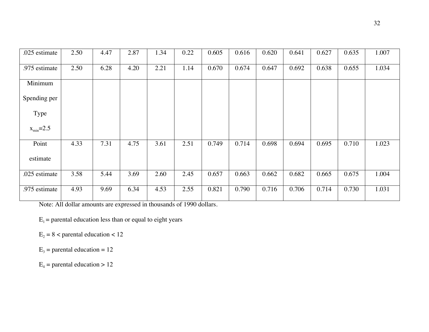| .025 estimate          | 2.50 | 4.47 | 2.87 | 1.34 | 0.22 | 0.605 | 0.616 | 0.620 | 0.641 | 0.627 | 0.635 | 1.007 |
|------------------------|------|------|------|------|------|-------|-------|-------|-------|-------|-------|-------|
| .975 estimate          | 2.50 | 6.28 | 4.20 | 2.21 | 1.14 | 0.670 | 0.674 | 0.647 | 0.692 | 0.638 | 0.655 | 1.034 |
| Minimum                |      |      |      |      |      |       |       |       |       |       |       |       |
| Spending per           |      |      |      |      |      |       |       |       |       |       |       |       |
| Type                   |      |      |      |      |      |       |       |       |       |       |       |       |
| $x_{\text{min}} = 2.5$ |      |      |      |      |      |       |       |       |       |       |       |       |
| Point                  | 4.33 | 7.31 | 4.75 | 3.61 | 2.51 | 0.749 | 0.714 | 0.698 | 0.694 | 0.695 | 0.710 | 1.023 |
| estimate               |      |      |      |      |      |       |       |       |       |       |       |       |
| .025 estimate          | 3.58 | 5.44 | 3.69 | 2.60 | 2.45 | 0.657 | 0.663 | 0.662 | 0.682 | 0.665 | 0.675 | 1.004 |
| .975 estimate          | 4.93 | 9.69 | 6.34 | 4.53 | 2.55 | 0.821 | 0.790 | 0.716 | 0.706 | 0.714 | 0.730 | 1.031 |

Note: All dollar amounts are expressed in thousands of 1990 dollars.

 $E_1$  = parental education less than or equal to eight years

 $E_2 = 8$  < parental education < 12

 $E_3$  = parental education = 12

 $E_4$  = parental education > 12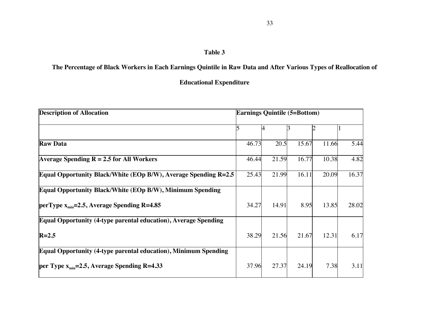## **The Percentage of Black Workers in Each Earnings Quintile in Raw Data and After Various Types of Reallocation of**

**Educational Expenditure**

| <b>Description of Allocation</b>                                | <b>Earnings Quintile (5=Bottom)</b> |       |       |       |       |  |  |  |
|-----------------------------------------------------------------|-------------------------------------|-------|-------|-------|-------|--|--|--|
|                                                                 |                                     |       |       |       |       |  |  |  |
| <b>Raw Data</b>                                                 | 46.73                               | 20.5  | 15.67 | 11.66 | 5.44  |  |  |  |
| Average Spending $R = 2.5$ for All Workers                      | 46.44                               | 21.59 | 16.77 | 10.38 | 4.82  |  |  |  |
| Equal Opportunity Black/White (EOp B/W), Average Spending R=2.5 | 25.43                               | 21.99 | 16.11 | 20.09 | 16.37 |  |  |  |
| Equal Opportunity Black/White (EOp B/W), Minimum Spending       |                                     |       |       |       |       |  |  |  |
| perType $x_{min} = 2.5$ , Average Spending R=4.85               | 34.27                               | 14.91 | 8.95  | 13.85 | 28.02 |  |  |  |
| Equal Opportunity (4-type parental education), Average Spending |                                     |       |       |       |       |  |  |  |
| $R=2.5$                                                         | 38.29                               | 21.56 | 21.67 | 12.31 | 6.17  |  |  |  |
| Equal Opportunity (4-type parental education), Minimum Spending |                                     |       |       |       |       |  |  |  |
| per Type $x_{min} = 2.5$ , Average Spending R=4.33              | 37.96                               | 27.37 | 24.19 | 7.38  | 3.11  |  |  |  |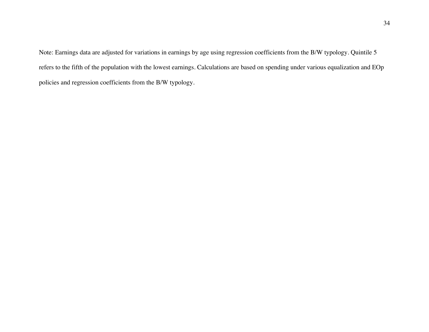Note: Earnings data are adjusted for variations in earnings by age using regression coefficients from the B/W typology. Quintile 5 refers to the fifth of the population with the lowest earnings. Calculations are based on spending under various equalization and EOp policies and regression coefficients from the B/W typology.